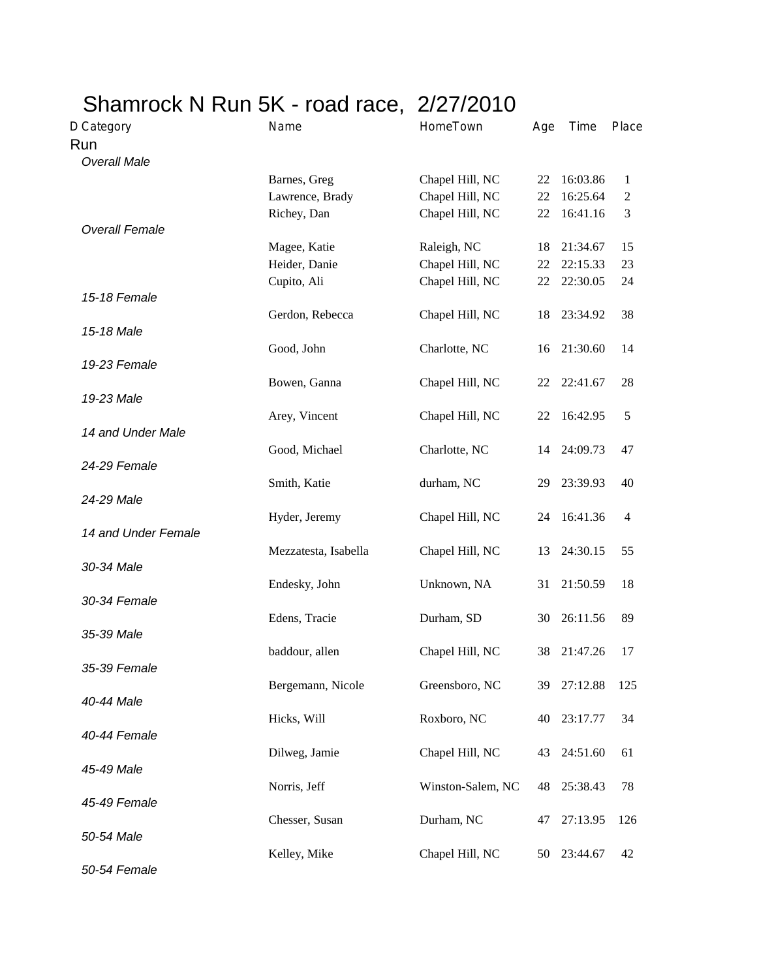| Name            | HomeTown                                                                                                                                                                                                                                           | Age                                                                                                                                                                                                                                                                                        | Time                                                           | Place                                                                                                                                                                |
|-----------------|----------------------------------------------------------------------------------------------------------------------------------------------------------------------------------------------------------------------------------------------------|--------------------------------------------------------------------------------------------------------------------------------------------------------------------------------------------------------------------------------------------------------------------------------------------|----------------------------------------------------------------|----------------------------------------------------------------------------------------------------------------------------------------------------------------------|
|                 |                                                                                                                                                                                                                                                    |                                                                                                                                                                                                                                                                                            |                                                                |                                                                                                                                                                      |
|                 |                                                                                                                                                                                                                                                    |                                                                                                                                                                                                                                                                                            |                                                                |                                                                                                                                                                      |
| Barnes, Greg    | Chapel Hill, NC                                                                                                                                                                                                                                    | 22                                                                                                                                                                                                                                                                                         | 16:03.86                                                       | 1                                                                                                                                                                    |
| Lawrence, Brady | Chapel Hill, NC                                                                                                                                                                                                                                    | 22                                                                                                                                                                                                                                                                                         | 16:25.64                                                       | $\overline{2}$                                                                                                                                                       |
| Richey, Dan     | Chapel Hill, NC                                                                                                                                                                                                                                    | 22                                                                                                                                                                                                                                                                                         | 16:41.16                                                       | 3                                                                                                                                                                    |
|                 |                                                                                                                                                                                                                                                    |                                                                                                                                                                                                                                                                                            |                                                                |                                                                                                                                                                      |
| Magee, Katie    | Raleigh, NC                                                                                                                                                                                                                                        | 18                                                                                                                                                                                                                                                                                         | 21:34.67                                                       | 15                                                                                                                                                                   |
| Heider, Danie   | Chapel Hill, NC                                                                                                                                                                                                                                    | 22                                                                                                                                                                                                                                                                                         | 22:15.33                                                       | 23                                                                                                                                                                   |
| Cupito, Ali     | Chapel Hill, NC                                                                                                                                                                                                                                    | 22                                                                                                                                                                                                                                                                                         | 22:30.05                                                       | 24                                                                                                                                                                   |
|                 |                                                                                                                                                                                                                                                    |                                                                                                                                                                                                                                                                                            |                                                                |                                                                                                                                                                      |
| Gerdon, Rebecca | Chapel Hill, NC                                                                                                                                                                                                                                    | 18                                                                                                                                                                                                                                                                                         | 23:34.92                                                       | 38                                                                                                                                                                   |
|                 |                                                                                                                                                                                                                                                    |                                                                                                                                                                                                                                                                                            |                                                                |                                                                                                                                                                      |
| Good, John      | Charlotte, NC                                                                                                                                                                                                                                      | 16                                                                                                                                                                                                                                                                                         | 21:30.60                                                       | 14                                                                                                                                                                   |
|                 |                                                                                                                                                                                                                                                    |                                                                                                                                                                                                                                                                                            |                                                                |                                                                                                                                                                      |
| Bowen, Ganna    | Chapel Hill, NC                                                                                                                                                                                                                                    | 22                                                                                                                                                                                                                                                                                         | 22:41.67                                                       | 28                                                                                                                                                                   |
|                 |                                                                                                                                                                                                                                                    |                                                                                                                                                                                                                                                                                            |                                                                |                                                                                                                                                                      |
|                 |                                                                                                                                                                                                                                                    | 22                                                                                                                                                                                                                                                                                         |                                                                | 5                                                                                                                                                                    |
|                 |                                                                                                                                                                                                                                                    |                                                                                                                                                                                                                                                                                            |                                                                |                                                                                                                                                                      |
|                 |                                                                                                                                                                                                                                                    | 14                                                                                                                                                                                                                                                                                         |                                                                | 47                                                                                                                                                                   |
|                 |                                                                                                                                                                                                                                                    |                                                                                                                                                                                                                                                                                            |                                                                |                                                                                                                                                                      |
|                 |                                                                                                                                                                                                                                                    | 29                                                                                                                                                                                                                                                                                         |                                                                | 40                                                                                                                                                                   |
|                 |                                                                                                                                                                                                                                                    |                                                                                                                                                                                                                                                                                            |                                                                |                                                                                                                                                                      |
|                 |                                                                                                                                                                                                                                                    |                                                                                                                                                                                                                                                                                            |                                                                | $\overline{4}$                                                                                                                                                       |
|                 |                                                                                                                                                                                                                                                    |                                                                                                                                                                                                                                                                                            |                                                                |                                                                                                                                                                      |
|                 |                                                                                                                                                                                                                                                    |                                                                                                                                                                                                                                                                                            |                                                                | 55                                                                                                                                                                   |
|                 |                                                                                                                                                                                                                                                    |                                                                                                                                                                                                                                                                                            |                                                                |                                                                                                                                                                      |
|                 |                                                                                                                                                                                                                                                    |                                                                                                                                                                                                                                                                                            |                                                                | 18                                                                                                                                                                   |
|                 |                                                                                                                                                                                                                                                    |                                                                                                                                                                                                                                                                                            |                                                                |                                                                                                                                                                      |
|                 |                                                                                                                                                                                                                                                    |                                                                                                                                                                                                                                                                                            |                                                                | 89                                                                                                                                                                   |
|                 |                                                                                                                                                                                                                                                    |                                                                                                                                                                                                                                                                                            |                                                                |                                                                                                                                                                      |
|                 |                                                                                                                                                                                                                                                    |                                                                                                                                                                                                                                                                                            |                                                                | 17                                                                                                                                                                   |
|                 |                                                                                                                                                                                                                                                    |                                                                                                                                                                                                                                                                                            |                                                                | 125                                                                                                                                                                  |
|                 |                                                                                                                                                                                                                                                    |                                                                                                                                                                                                                                                                                            |                                                                |                                                                                                                                                                      |
|                 |                                                                                                                                                                                                                                                    |                                                                                                                                                                                                                                                                                            |                                                                | 34                                                                                                                                                                   |
|                 |                                                                                                                                                                                                                                                    |                                                                                                                                                                                                                                                                                            |                                                                |                                                                                                                                                                      |
|                 |                                                                                                                                                                                                                                                    |                                                                                                                                                                                                                                                                                            |                                                                | 61                                                                                                                                                                   |
|                 |                                                                                                                                                                                                                                                    |                                                                                                                                                                                                                                                                                            |                                                                |                                                                                                                                                                      |
|                 |                                                                                                                                                                                                                                                    |                                                                                                                                                                                                                                                                                            |                                                                | 78                                                                                                                                                                   |
|                 |                                                                                                                                                                                                                                                    |                                                                                                                                                                                                                                                                                            |                                                                |                                                                                                                                                                      |
|                 |                                                                                                                                                                                                                                                    |                                                                                                                                                                                                                                                                                            |                                                                | 126                                                                                                                                                                  |
|                 |                                                                                                                                                                                                                                                    |                                                                                                                                                                                                                                                                                            |                                                                |                                                                                                                                                                      |
|                 |                                                                                                                                                                                                                                                    |                                                                                                                                                                                                                                                                                            |                                                                | 42                                                                                                                                                                   |
|                 |                                                                                                                                                                                                                                                    |                                                                                                                                                                                                                                                                                            |                                                                |                                                                                                                                                                      |
|                 | Arey, Vincent<br>Good, Michael<br>Smith, Katie<br>Hyder, Jeremy<br>Mezzatesta, Isabella<br>Endesky, John<br>Edens, Tracie<br>baddour, allen<br>Bergemann, Nicole<br>Hicks, Will<br>Dilweg, Jamie<br>Norris, Jeff<br>Chesser, Susan<br>Kelley, Mike | Shamrock N Run 5K - road race, 2/27/2010<br>Chapel Hill, NC<br>Charlotte, NC<br>durham, NC<br>Chapel Hill, NC<br>Chapel Hill, NC<br>Unknown, NA<br>Durham, SD<br>Chapel Hill, NC<br>Greensboro, NC<br>Roxboro, NC<br>Chapel Hill, NC<br>Winston-Salem, NC<br>Durham, NC<br>Chapel Hill, NC | 24<br>13<br>31<br>30<br>38<br>39<br>40<br>43<br>48<br>47<br>50 | 16:42.95<br>24:09.73<br>23:39.93<br>16:41.36<br>24:30.15<br>21:50.59<br>26:11.56<br>21:47.26<br>27:12.88<br>23:17.77<br>24:51.60<br>25:38.43<br>27:13.95<br>23:44.67 |